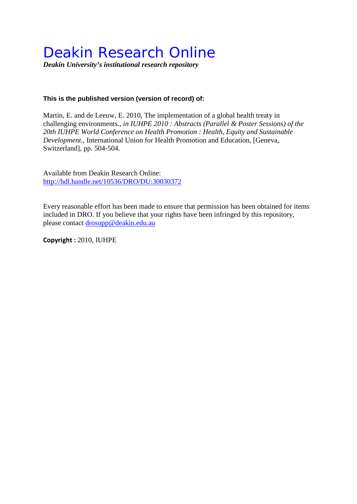## Deakin Research Online

*Deakin University's institutional research repository*

## **This is the published version (version of record) of:**

Martin, E. and de Leeuw, E. 2010, The implementation of a global health treaty in challenging environments.*, in IUHPE 2010 : Abstracts (Parallel & Poster Sessions) of the 20th IUHPE World Conference on Health Promotion : Health, Equity and Sustainable Development.*, International Union for Health Promotion and Education, [Geneva, Switzerland], pp. 504-504.

Available from Deakin Research Online: <http://hdl.handle.net/10536/DRO/DU:30030372>

Every reasonable effort has been made to ensure that permission has been obtained for items included in DRO. If you believe that your rights have been infringed by this repository, please contact [drosupp@deakin.edu.au](mailto:drosupp@deakin.edu.au) 

**Copyright :** 2010, IUHPE